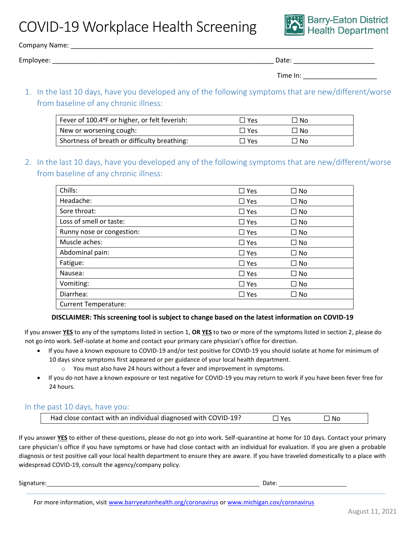COVID-19 Workplace Health Screening



Company Name: \_\_\_\_\_\_\_\_\_\_\_\_\_\_\_\_\_\_\_\_\_\_\_\_\_\_\_\_\_\_\_\_\_\_\_\_\_\_\_\_\_\_\_\_\_\_\_\_\_\_\_\_\_\_\_\_\_\_\_\_\_\_\_\_\_\_\_\_\_\_\_\_\_\_\_\_\_\_\_\_\_\_

Employee: \_\_\_\_\_\_\_\_\_\_\_\_\_\_\_\_\_\_\_\_\_\_\_\_\_\_\_\_\_\_\_\_\_\_\_\_\_\_\_\_\_\_\_\_\_\_\_\_\_\_\_\_\_\_\_\_\_\_\_\_ Date: \_\_\_\_\_\_\_\_\_\_\_\_\_\_\_\_\_\_\_\_\_\_

| Time In: |  |
|----------|--|
|          |  |

1. In the last 10 days, have you developed any of the following symptoms that are new/different/worse from baseline of any chronic illness:

| Fever of 100.4°F or higher, or felt feverish: | $\Box$ Yes | ⊐ No |
|-----------------------------------------------|------------|------|
| New or worsening cough:                       | $\Box$ Yes | ⊐ No |
| Shortness of breath or difficulty breathing:  | $\Box$ Yes | ∃ No |

2. In the last 10 days, have you developed any of the following symptoms that are new/different/worse from baseline of any chronic illness:

| Chills:                     | $\square$ Yes | $\square$ No |
|-----------------------------|---------------|--------------|
| Headache:                   | $\square$ Yes | $\square$ No |
| Sore throat:                | $\Box$ Yes    | $\square$ No |
| Loss of smell or taste:     | $\Box$ Yes    | $\square$ No |
| Runny nose or congestion:   | $\Box$ Yes    | $\square$ No |
| Muscle aches:               | $\Box$ Yes    | $\square$ No |
| Abdominal pain:             | $\Box$ Yes    | $\Box$ No    |
| Fatigue:                    | $\Box$ Yes    | $\square$ No |
| Nausea:                     | $\Box$ Yes    | $\square$ No |
| Vomiting:                   | $\Box$ Yes    | $\square$ No |
| Diarrhea:                   | $\square$ Yes | □ No         |
| <b>Current Temperature:</b> |               |              |

## **DISCLAIMER: This screening tool is subject to change based on the latest information on COVID-19**

If you answer **YES** to any of the symptoms listed in section 1, **OR YES** to two or more of the symptoms listed in section 2, please do not go into work. Self-isolate at home and contact your primary care physician's office for direction.

- If you have a known exposure to COVID-19 and/or test positive for COVID-19 you should isolate at home for minimum of 10 days since symptoms first appeared or per guidance of your local health department.
	- o You must also have 24 hours without a fever and improvement in symptoms.
- If you do not have a known exposure or test negative for COVID-19 you may return to work if you have been fever free for 24 hours.

## In the past 10 days, have you:

|  | Had close contact with an individual diagnosed with COVID-19? | ∃ Yes | □ No |  |
|--|---------------------------------------------------------------|-------|------|--|
|--|---------------------------------------------------------------|-------|------|--|

If you answer **YES** to either of these questions, please do not go into work. Self-quarantine at home for 10 days. Contact your primary care physician's office if you have symptoms or have had close contact with an individual for evaluation. If you are given a probable diagnosis or test positive call your local health department to ensure they are aware. If you have traveled domestically to a place with widespread COVID-19, consult the agency/company policy.

Signature: Date: Date: Date: Date: Date: Date: Date: Date: Date: Date: Date: Date: Date: Date: Date: Date: Date: Date: Date: Date: Date: Date: Date: Date: Date: Date: Date: Date: Date: Date: Date: Date: Date: Date: Date: D

For more information, visit [www.barryeatonhealth.org/coronavirus](http://www.barryeatonhealth.org/coronavirus) or [www.michigan.cov/coronavirus](http://www.michigan.cov/coronavirus)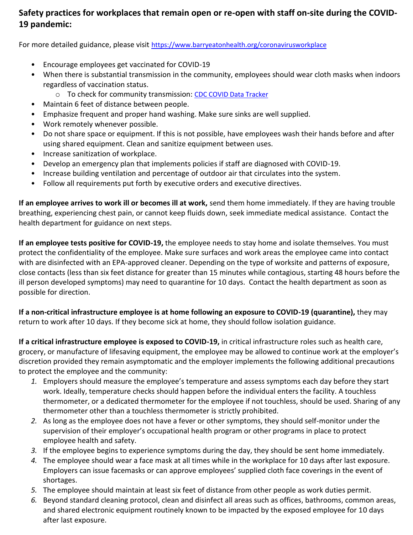## **Safety practices for workplaces that remain open or re-open with staff on-site during the COVID-19 pandemic:**

For more detailed guidance, please visit <https://www.barryeatonhealth.org/coronavirusworkplace>

- Encourage employees get vaccinated for COVID-19
- When there is substantial transmission in the community, employees should wear cloth masks when indoors regardless of vaccination status.
	- o To check for community transmission: [CDC COVID Data Tracker](https://covid.cdc.gov/covid-data-tracker/#county-view)
- Maintain 6 feet of distance between people.
- Emphasize frequent and proper hand washing. Make sure sinks are well supplied.
- Work remotely whenever possible.
- Do not share space or equipment. If this is not possible, have employees wash their hands before and after using shared equipment. Clean and sanitize equipment between uses.
- Increase sanitization of workplace.
- Develop an emergency plan that implements policies if staff are diagnosed with COVID-19.
- Increase building ventilation and percentage of outdoor air that circulates into the system.
- Follow all requirements put forth by executive orders and executive directives.

**If an employee arrives to work ill or becomes ill at work,** send them home immediately. If they are having trouble breathing, experiencing chest pain, or cannot keep fluids down, seek immediate medical assistance. Contact the health department for guidance on next steps.

**If an employee tests positive for COVID-19,** the employee needs to stay home and isolate themselves. You must protect the confidentiality of the employee. Make sure surfaces and work areas the employee came into contact with are disinfected with an EPA-approved cleaner. Depending on the type of worksite and patterns of exposure, close contacts (less than six feet distance for greater than 15 minutes while contagious, starting 48 hours before the ill person developed symptoms) may need to quarantine for 10 days. Contact the health department as soon as possible for direction.

**If a non-critical infrastructure employee is at home following an exposure to COVID-19 (quarantine),** they may return to work after 10 days. If they become sick at home, they should follow isolation guidance.

**If a critical infrastructure employee is exposed to COVID-19,** in critical infrastructure roles such as health care, grocery, or manufacture of lifesaving equipment, the employee may be allowed to continue work at the employer's discretion provided they remain asymptomatic and the employer implements the following additional precautions to protect the employee and the community:

- *1.* Employers should measure the employee's temperature and assess symptoms each day before they start work. Ideally, temperature checks should happen before the individual enters the facility. A touchless thermometer, or a dedicated thermometer for the employee if not touchless, should be used. Sharing of any thermometer other than a touchless thermometer is strictly prohibited.
- *2.* As long as the employee does not have a fever or other symptoms, they should self-monitor under the supervision of their employer's occupational health program or other programs in place to protect employee health and safety.
- *3.* If the employee begins to experience symptoms during the day, they should be sent home immediately.
- *4.* The employee should wear a face mask at all times while in the workplace for 10 days after last exposure. Employers can issue facemasks or can approve employees' supplied cloth face coverings in the event of shortages.
- *5.* The employee should maintain at least six feet of distance from other people as work duties permit.
- *6.* Beyond standard cleaning protocol, clean and disinfect all areas such as offices, bathrooms, common areas, and shared electronic equipment routinely known to be impacted by the exposed employee for 10 days after last exposure.